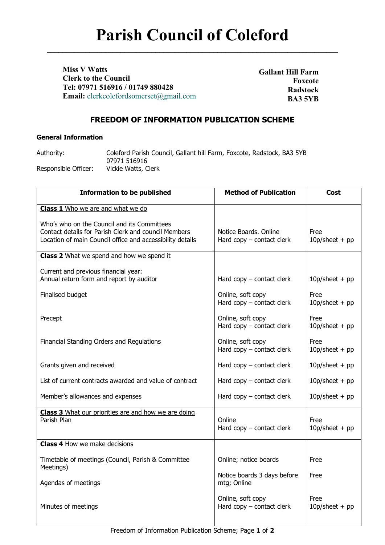**\_\_\_\_\_\_\_\_\_\_\_\_\_\_\_\_\_\_\_\_\_\_\_\_\_\_\_\_\_\_\_\_\_\_\_\_\_\_\_\_\_\_\_\_\_\_\_\_\_\_\_\_\_\_\_\_\_\_\_\_\_\_\_\_\_\_\_\_\_\_\_\_\_\_\_**

**Miss V Watts Clerk to the Council Tel: 07971 516916 / 01749 880428 Email:** [clerkcolefordsomerset@gmail.com](mailto:clerkcolefordsomerset@gmail.com)

**Gallant Hill Farm Foxcote Radstock BA3 5YB**

# **FREEDOM OF INFORMATION PUBLICATION SCHEME**

### **General Information**

Authority: Coleford Parish Council, Gallant hill Farm, Foxcote, Radstock, BA3 5YB 07971 516916 Responsible Officer: Vickie Watts, Clerk

| <b>Information to be published</b>                                                                                                                               | <b>Method of Publication</b>                         | <b>Cost</b>              |
|------------------------------------------------------------------------------------------------------------------------------------------------------------------|------------------------------------------------------|--------------------------|
| <b>Class 1</b> Who we are and what we do                                                                                                                         |                                                      |                          |
| Who's who on the Council and its Committees<br>Contact details for Parish Clerk and council Members<br>Location of main Council office and accessibility details | Notice Boards, Online<br>Hard $copy$ – contact clerk | Free<br>$10p/sheet + pp$ |
| <b>Class 2</b> What we spend and how we spend it                                                                                                                 |                                                      |                          |
| Current and previous financial year:<br>Annual return form and report by auditor                                                                                 | Hard $copy$ – contact clerk                          | $10p/sheet + pp$         |
| Finalised budget                                                                                                                                                 | Online, soft copy<br>Hard $copy$ – contact clerk     | Free<br>$10p/sheet + pp$ |
| Precept                                                                                                                                                          | Online, soft copy<br>Hard copy - contact clerk       | Free<br>$10p/sheet + pp$ |
| Financial Standing Orders and Regulations                                                                                                                        | Online, soft copy<br>Hard copy - contact clerk       | Free<br>$10p/sheet + pp$ |
| Grants given and received                                                                                                                                        | Hard $copy$ – contact clerk                          | $10p/sheet + pp$         |
| List of current contracts awarded and value of contract                                                                                                          | Hard $copy$ – contact clerk                          | $10p/sheet + pp$         |
| Member's allowances and expenses                                                                                                                                 | Hard $copy$ – contact clerk                          | $10p/sheet + pp$         |
| Class 3 What our priorities are and how we are doing<br>Parish Plan                                                                                              | Online<br>Hard $copy$ – contact clerk                | Free<br>$10p/sheet + pp$ |
| <b>Class 4 How we make decisions</b>                                                                                                                             |                                                      |                          |
| Timetable of meetings (Council, Parish & Committee<br>Meetings)                                                                                                  | Online; notice boards                                | Free                     |
| Agendas of meetings                                                                                                                                              | Notice boards 3 days before<br>mtg; Online           | Free                     |
| Minutes of meetings                                                                                                                                              | Online, soft copy<br>Hard $copy$ – contact clerk     | Free<br>$10p/sheet + pp$ |